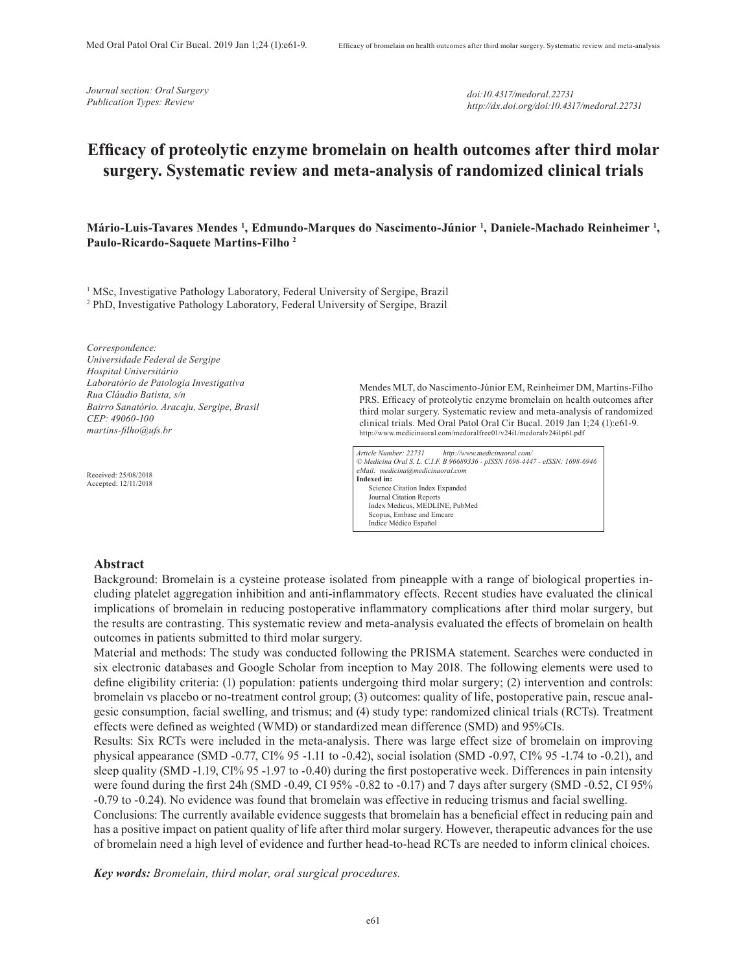*Journal section: Oral Surgery Publication Types: Review*

*doi:10.4317/medoral.22731 http://dx.doi.org/doi:10.4317/medoral.22731*

# **Efficacy of proteolytic enzyme bromelain on health outcomes after third molar surgery. Systematic review and meta-analysis of randomized clinical trials**

**Mário-Luis-Tavares Mendes <sup>1</sup> , Edmundo-Marques do Nascimento-Júnior <sup>1</sup> , Daniele-Machado Reinheimer <sup>1</sup> , Paulo-Ricardo-Saquete Martins-Filho <sup>2</sup>**

<sup>1</sup> MSc, Investigative Pathology Laboratory, Federal University of Sergipe, Brazil

2 PhD, Investigative Pathology Laboratory, Federal University of Sergipe, Brazil

*Correspondence: Universidade Federal de Sergipe Hospital Universitário Laboratório de Patologia Investigativa Rua Cláudio Batista, s/n Bairro Sanatório. Aracaju, Sergipe, Brasil CEP: 49060-100 martins-filho@ufs.br* 

Mendes MLT, do Nascimento-Júnior EM, Reinheimer DM, Martins-Filho PRS. Efficacy of proteolytic enzyme bromelain on health outcomes after third molar surgery. Systematic review and meta-analysis of randomized clinical trials. Med Oral Patol Oral Cir Bucal. 2019 Jan 1;24 (1):e61-9. http://www.medicinaoral.com/medoralfree01/v24i1/medoralv24i1p61.pdf

*Article Number: 22731 http://www.medicinaoral.com/ © Medicina Oral S. L. C.I.F. B 96689336 - pISSN 1698-4447 - eISSN: 1698-6946 eMail: medicina@medicinaoral.com*  **Indexed in:**  Science Citation Index Expanded Journal Citation Reports Index Medicus, MEDLINE, PubMed Scopus, Embase and Emcare Indice Médico Español

#### **Abstract**

Background: Bromelain is a cysteine protease isolated from pineapple with a range of biological properties including platelet aggregation inhibition and anti-inflammatory effects. Recent studies have evaluated the clinical implications of bromelain in reducing postoperative inflammatory complications after third molar surgery, but the results are contrasting. This systematic review and meta-analysis evaluated the effects of bromelain on health outcomes in patients submitted to third molar surgery.

Material and methods: The study was conducted following the PRISMA statement. Searches were conducted in six electronic databases and Google Scholar from inception to May 2018. The following elements were used to define eligibility criteria: (1) population: patients undergoing third molar surgery; (2) intervention and controls: bromelain vs placebo or no-treatment control group; (3) outcomes: quality of life, postoperative pain, rescue analgesic consumption, facial swelling, and trismus; and (4) study type: randomized clinical trials (RCTs). Treatment effects were defined as weighted (WMD) or standardized mean difference (SMD) and 95%CIs.

Results: Six RCTs were included in the meta-analysis. There was large effect size of bromelain on improving physical appearance (SMD -0.77, CI% 95 -1.11 to -0.42), social isolation (SMD -0.97, CI% 95 -1.74 to -0.21), and sleep quality (SMD -1.19, CI% 95 -1.97 to -0.40) during the first postoperative week. Differences in pain intensity were found during the first 24h (SMD -0.49, CI 95% -0.82 to -0.17) and 7 days after surgery (SMD -0.52, CI 95% -0.79 to -0.24). No evidence was found that bromelain was effective in reducing trismus and facial swelling.

Conclusions: The currently available evidence suggests that bromelain has a beneficial effect in reducing pain and has a positive impact on patient quality of life after third molar surgery. However, therapeutic advances for the use of bromelain need a high level of evidence and further head-to-head RCTs are needed to inform clinical choices.

*Key words: Bromelain, third molar, oral surgical procedures.* 

Received: 25/08/2018 Accepted: 12/11/2018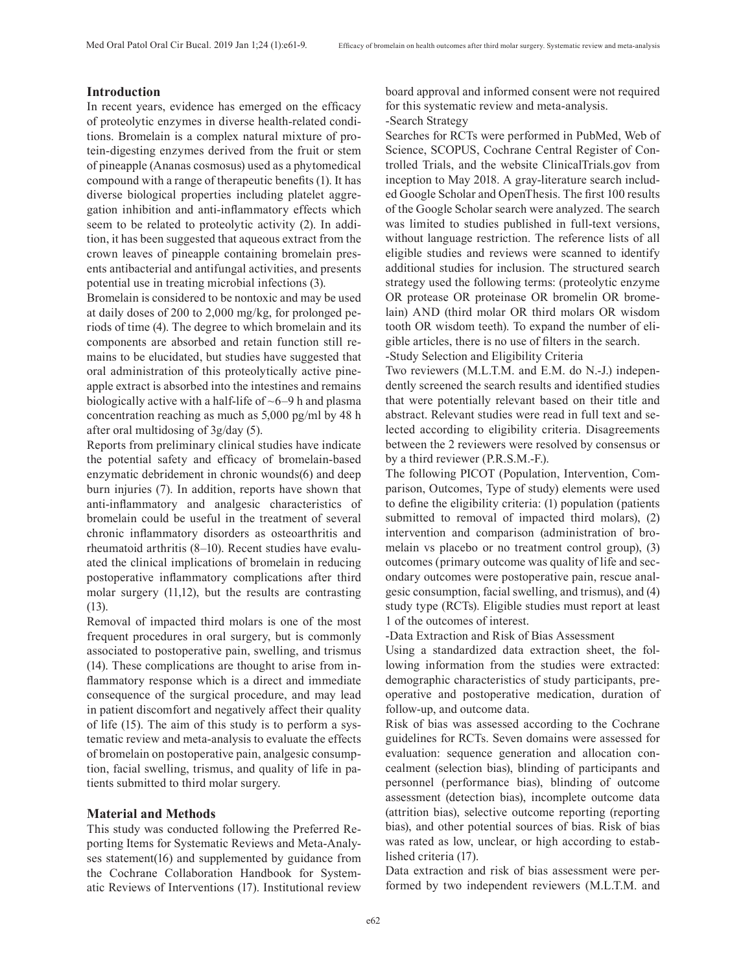# **Introduction**

In recent years, evidence has emerged on the efficacy of proteolytic enzymes in diverse health-related conditions. Bromelain is a complex natural mixture of protein-digesting enzymes derived from the fruit or stem of pineapple (Ananas cosmosus) used as a phytomedical compound with a range of therapeutic benefits (1). It has diverse biological properties including platelet aggregation inhibition and anti-inflammatory effects which seem to be related to proteolytic activity (2). In addition, it has been suggested that aqueous extract from the crown leaves of pineapple containing bromelain presents antibacterial and antifungal activities, and presents potential use in treating microbial infections (3).

Bromelain is considered to be nontoxic and may be used at daily doses of 200 to 2,000 mg/kg, for prolonged periods of time (4). The degree to which bromelain and its components are absorbed and retain function still remains to be elucidated, but studies have suggested that oral administration of this proteolytically active pineapple extract is absorbed into the intestines and remains biologically active with a half-life of  $\sim$  6–9 h and plasma concentration reaching as much as 5,000 pg/ml by 48 h after oral multidosing of 3g/day (5).

Reports from preliminary clinical studies have indicate the potential safety and efficacy of bromelain-based enzymatic debridement in chronic wounds(6) and deep burn injuries (7). In addition, reports have shown that anti-inflammatory and analgesic characteristics of bromelain could be useful in the treatment of several chronic inflammatory disorders as osteoarthritis and rheumatoid arthritis (8–10). Recent studies have evaluated the clinical implications of bromelain in reducing postoperative inflammatory complications after third molar surgery (11,12), but the results are contrasting (13).

Removal of impacted third molars is one of the most frequent procedures in oral surgery, but is commonly associated to postoperative pain, swelling, and trismus (14). These complications are thought to arise from inflammatory response which is a direct and immediate consequence of the surgical procedure, and may lead in patient discomfort and negatively affect their quality of life (15). The aim of this study is to perform a systematic review and meta-analysis to evaluate the effects of bromelain on postoperative pain, analgesic consumption, facial swelling, trismus, and quality of life in patients submitted to third molar surgery.

### **Material and Methods**

This study was conducted following the Preferred Reporting Items for Systematic Reviews and Meta-Analyses statement(16) and supplemented by guidance from the Cochrane Collaboration Handbook for Systematic Reviews of Interventions (17). Institutional review board approval and informed consent were not required for this systematic review and meta-analysis.

### -Search Strategy

Searches for RCTs were performed in PubMed, Web of Science, SCOPUS, Cochrane Central Register of Controlled Trials, and the website ClinicalTrials.gov from inception to May 2018. A gray-literature search included Google Scholar and OpenThesis. The first 100 results of the Google Scholar search were analyzed. The search was limited to studies published in full-text versions, without language restriction. The reference lists of all eligible studies and reviews were scanned to identify additional studies for inclusion. The structured search strategy used the following terms: (proteolytic enzyme OR protease OR proteinase OR bromelin OR bromelain) AND (third molar OR third molars OR wisdom tooth OR wisdom teeth). To expand the number of eligible articles, there is no use of filters in the search. -Study Selection and Eligibility Criteria

Two reviewers (M.L.T.M. and E.M. do N.-J.) independently screened the search results and identified studies that were potentially relevant based on their title and abstract. Relevant studies were read in full text and selected according to eligibility criteria. Disagreements between the 2 reviewers were resolved by consensus or by a third reviewer (P.R.S.M.-F.).

The following PICOT (Population, Intervention, Comparison, Outcomes, Type of study) elements were used to define the eligibility criteria: (1) population (patients submitted to removal of impacted third molars), (2) intervention and comparison (administration of bromelain vs placebo or no treatment control group), (3) outcomes (primary outcome was quality of life and secondary outcomes were postoperative pain, rescue analgesic consumption, facial swelling, and trismus), and (4) study type (RCTs). Eligible studies must report at least 1 of the outcomes of interest.

-Data Extraction and Risk of Bias Assessment

Using a standardized data extraction sheet, the following information from the studies were extracted: demographic characteristics of study participants, preoperative and postoperative medication, duration of follow-up, and outcome data.

Risk of bias was assessed according to the Cochrane guidelines for RCTs. Seven domains were assessed for evaluation: sequence generation and allocation concealment (selection bias), blinding of participants and personnel (performance bias), blinding of outcome assessment (detection bias), incomplete outcome data (attrition bias), selective outcome reporting (reporting bias), and other potential sources of bias. Risk of bias was rated as low, unclear, or high according to established criteria (17).

Data extraction and risk of bias assessment were performed by two independent reviewers (M.L.T.M. and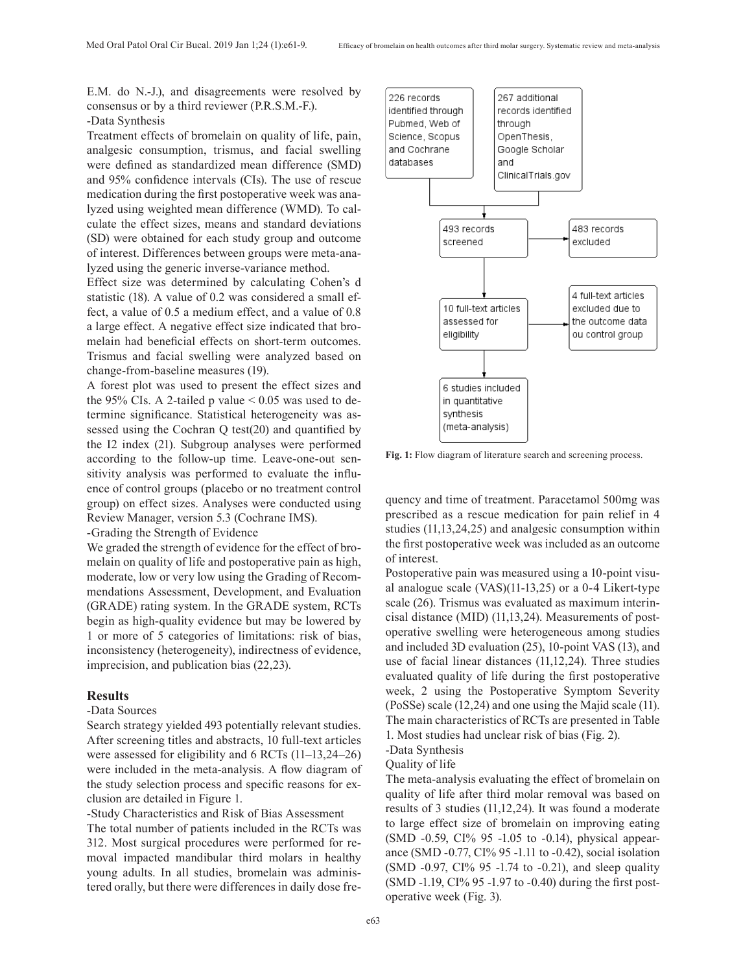E.M. do N.-J.), and disagreements were resolved by consensus or by a third reviewer (P.R.S.M.-F.). -Data Synthesis

Treatment effects of bromelain on quality of life, pain, analgesic consumption, trismus, and facial swelling were defined as standardized mean difference (SMD) and 95% confidence intervals (CIs). The use of rescue medication during the first postoperative week was analyzed using weighted mean difference (WMD). To calculate the effect sizes, means and standard deviations (SD) were obtained for each study group and outcome of interest. Differences between groups were meta-analyzed using the generic inverse-variance method.

Effect size was determined by calculating Cohen's d statistic (18). A value of 0.2 was considered a small effect, a value of 0.5 a medium effect, and a value of 0.8 a large effect. A negative effect size indicated that bromelain had beneficial effects on short-term outcomes. Trismus and facial swelling were analyzed based on change-from-baseline measures (19).

A forest plot was used to present the effect sizes and the 95% CIs. A 2-tailed p value  $\leq 0.05$  was used to determine significance. Statistical heterogeneity was assessed using the Cochran Q test(20) and quantified by the I2 index (21). Subgroup analyses were performed according to the follow-up time. Leave-one-out sensitivity analysis was performed to evaluate the influence of control groups (placebo or no treatment control group) on effect sizes. Analyses were conducted using Review Manager, version 5.3 (Cochrane IMS).

-Grading the Strength of Evidence

We graded the strength of evidence for the effect of bromelain on quality of life and postoperative pain as high, moderate, low or very low using the Grading of Recommendations Assessment, Development, and Evaluation (GRADE) rating system. In the GRADE system, RCTs begin as high-quality evidence but may be lowered by 1 or more of 5 categories of limitations: risk of bias, inconsistency (heterogeneity), indirectness of evidence, imprecision, and publication bias (22,23).

### **Results**

## -Data Sources

Search strategy yielded 493 potentially relevant studies. After screening titles and abstracts, 10 full-text articles were assessed for eligibility and 6 RCTs (11–13,24–26) were included in the meta-analysis. A flow diagram of the study selection process and specific reasons for exclusion are detailed in Figure 1.

-Study Characteristics and Risk of Bias Assessment

The total number of patients included in the RCTs was 312. Most surgical procedures were performed for removal impacted mandibular third molars in healthy young adults. In all studies, bromelain was administered orally, but there were differences in daily dose fre-



**Fig. 1:** Flow diagram of literature search and screening process.

quency and time of treatment. Paracetamol 500mg was prescribed as a rescue medication for pain relief in 4 studies (11,13,24,25) and analgesic consumption within the first postoperative week was included as an outcome of interest.

Postoperative pain was measured using a 10-point visual analogue scale (VAS)(11-13,25) or a 0-4 Likert-type scale (26). Trismus was evaluated as maximum interincisal distance (MID) (11,13,24). Measurements of postoperative swelling were heterogeneous among studies and included 3D evaluation (25), 10-point VAS (13), and use of facial linear distances (11,12,24). Three studies evaluated quality of life during the first postoperative week, 2 using the Postoperative Symptom Severity (PoSSe) scale (12,24) and one using the Majid scale (11). The main characteristics of RCTs are presented in Table 1. Most studies had unclear risk of bias (Fig. 2).

-Data Synthesis

Quality of life

The meta-analysis evaluating the effect of bromelain on quality of life after third molar removal was based on results of 3 studies (11,12,24). It was found a moderate to large effect size of bromelain on improving eating (SMD -0.59, CI% 95 -1.05 to -0.14), physical appearance (SMD -0.77, CI% 95 -1.11 to -0.42), social isolation (SMD -0.97, CI% 95 -1.74 to -0.21), and sleep quality (SMD -1.19, CI% 95 -1.97 to -0.40) during the first postoperative week (Fig. 3).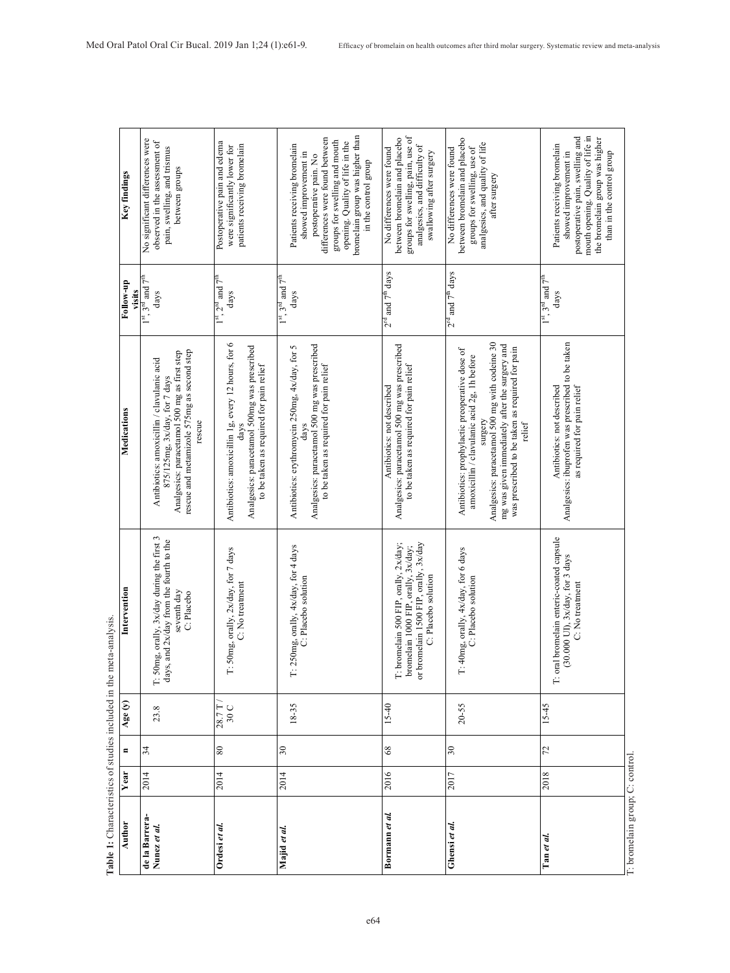|                                 |      |                          |           | Table 1: Characteristics of studies included in the meta-analysis                                                                            |                                                                                                                                                                                                                                                                           |                                                      |                                                                                                                                                                                                                                                  |
|---------------------------------|------|--------------------------|-----------|----------------------------------------------------------------------------------------------------------------------------------------------|---------------------------------------------------------------------------------------------------------------------------------------------------------------------------------------------------------------------------------------------------------------------------|------------------------------------------------------|--------------------------------------------------------------------------------------------------------------------------------------------------------------------------------------------------------------------------------------------------|
| Author                          | Year | $\blacksquare$           | Age(y)    | Intervention                                                                                                                                 | Medications                                                                                                                                                                                                                                                               | Follow-up<br>visits                                  | <b>Key findings</b>                                                                                                                                                                                                                              |
| de la Barrera-<br>Nunez et al.  | 2014 | 34                       | 23.8      | T: 50mg, orally, 3x/day during the first 3<br>days, and 2x/day from the fourth to the<br>seventh day<br>C: Placebo                           | rescue and metamizole 575mg as second step<br>Analgesics: paracetamol 500 mg as first step<br>Antibiotics: amoxicillin / clavulanic acid<br>875/125mg, 3x/day, for 7 days<br>rescue                                                                                       | $1^{st}$ , $3^{rd}$ and $7^{th}$<br>days             | No significant differences were<br>observed in the assessment of<br>pain, swelling, and trismus<br>between groups                                                                                                                                |
| Ordesi et al.                   | 2014 | $\rm 80$                 | 28.7 T    | T: 50mg, orally, 2x/day, for 7 days<br>C: No treatment                                                                                       | Antibiotics: amoxicillin 1g, every 12 hours, for 6<br>Analgesics: paracetamol 500mg was prescribed<br>to be taken as required for pain relief<br>days                                                                                                                     | $1st$ , $2rd$ and $7th$<br>days                      | Postoperative pain and edema<br>were significantly lower for<br>patients receiving bromelain                                                                                                                                                     |
| Majid <i>et al.</i>             | 2014 | $\overline{\mathbf{30}}$ | 18-35     | T: 250mg, orally, $4x$ /day, for 4 days<br>C: Placebo solution                                                                               | Analgesics: paracetamol 500 mg was prescribed<br>Antibiotics: erythromycin 250mg, 4x/day, for 5<br>to be taken as required for pain relief<br>days                                                                                                                        | $1^{st}$ , $3^{rd}$ and $7^{th}$<br>days             | bromelain group was higher than<br>differences were found between<br>groups for swelling and mouth<br>opening. Quality of life in the<br>Patients receiving bromelain<br>showed improvement in<br>postoperative pain. No<br>in the control group |
| Bormann et al.                  | 2016 | $68\,$                   | $15 - 40$ | or bromelain 1500 FIP, orally, 3x/day<br>T: bromelain 500 FIP, orally, 2x/day;<br>bromelain 1000 FIP, orally, 3x/day;<br>C: Placebo solution | Analgesics: paracetamol 500 mg was prescribed<br>to be taken as required for pain relief<br>Antibiotics: not described                                                                                                                                                    | $2^{\rm rd}$ and $7^{\rm th}$ days                   | groups for swelling, pain, use of<br>between bromelain and placebo<br>analgesics, and difficulty of<br>No differences were found<br>swallowing after surgery                                                                                     |
| Ghensi <i>et al.</i>            | 2017 | 30                       | 20-55     | T: 40mg, orally, 4x/day, for 6 days<br>C: Placebo solution                                                                                   | Analgesics: paracetamol 500 mg with codeine 30<br>mg was given immediately after the surgery and<br>was prescribed to be taken as required for pain<br>Antibiotics: prophylactic preoperative dose of<br>amoxicillin / clavulanic acid 2g, 1h before<br>surgery<br>relief | $2^{rd}$ and $7^{th}$ days                           | between bromelain and placebo<br>analgesics, and quality of life<br>groups for swelling, use of<br>No differences were found<br>after surgery                                                                                                    |
| $\mathbb{T}$ an et al.          | 2018 | 72                       | $15-45$   | l': oral bromelain enteric-coated capsule<br>(30.000 UI), 3x/day, for 3 days<br>C: No treatment                                              | Analgesics: ibuprofen was prescribed to be taken<br>as required for pain relief<br>Antibiotics: not described                                                                                                                                                             | $1^{\rm st}$ , $3^{\rm rd}$ and $7^{\rm th}$<br>days | mouth opening. Quality of life in<br>postoperative pain, swelling and<br>the bromelain group was higher<br>Patients receiving bromelain<br>showed improvement in<br>than in the control group                                                    |
| T: bromelain group; C: control. |      |                          |           |                                                                                                                                              |                                                                                                                                                                                                                                                                           |                                                      |                                                                                                                                                                                                                                                  |

| l<br>l<br>١                                                                                                             |
|-------------------------------------------------------------------------------------------------------------------------|
| Ï<br>٦<br>í<br>I<br>í<br>ı<br>ï<br>I<br>Ï<br><b>Service Service</b><br>ļ<br>í<br>$\frac{1}{2}$<br>í<br>í<br>ï<br>ï<br>í |
| ļ<br>ı<br>ï                                                                                                             |
| í<br>j<br>I                                                                                                             |
| Ï<br>b                                                                                                                  |
| ï                                                                                                                       |
| j<br>í<br>l<br>ı<br>I                                                                                                   |
| í<br>ļ<br>١                                                                                                             |
| l<br>í<br>j<br>ı                                                                                                        |
| I<br>I<br>i                                                                                                             |
| ļ<br>ì<br>I<br>l<br>ļ<br>í<br>í<br>l<br>I                                                                               |
| í<br>I<br>ı<br>l<br>i<br>l                                                                                              |
|                                                                                                                         |
| í<br>i<br>I                                                                                                             |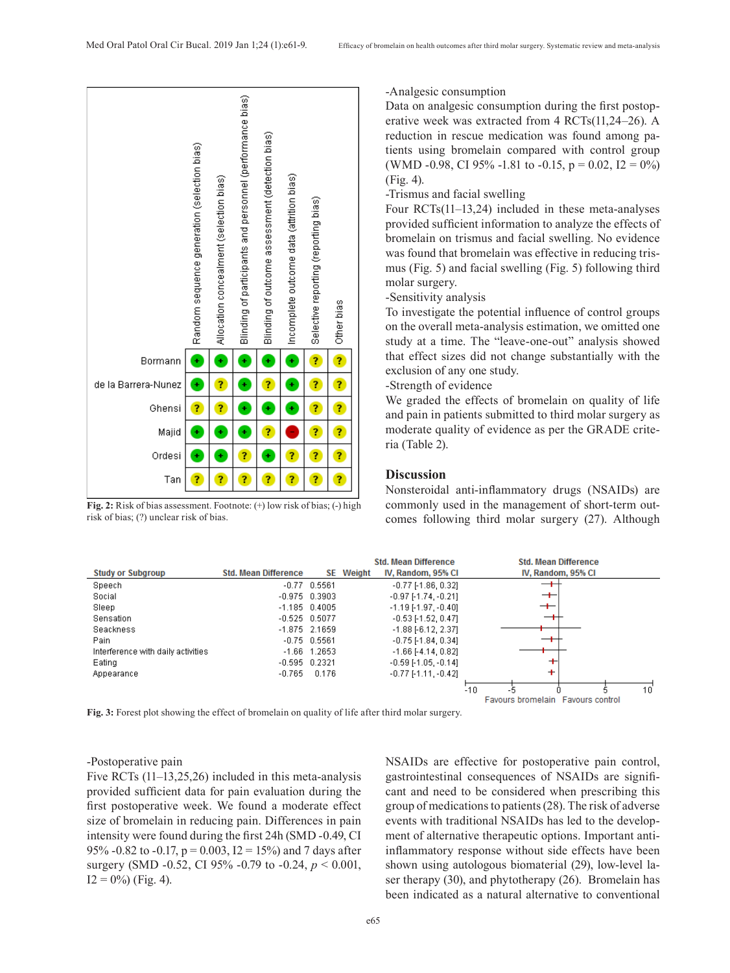



#### -Analgesic consumption

Data on analgesic consumption during the first postoperative week was extracted from 4 RCTs(11,24–26). A reduction in rescue medication was found among patients using bromelain compared with control group (WMD -0.98, CI 95% -1.81 to -0.15,  $p = 0.02$ ,  $I2 = 0\%$ ) (Fig. 4).

-Trismus and facial swelling

Four RCTs(11–13,24) included in these meta-analyses provided sufficient information to analyze the effects of bromelain on trismus and facial swelling. No evidence was found that bromelain was effective in reducing trismus (Fig. 5) and facial swelling (Fig. 5) following third molar surgery.

-Sensitivity analysis

To investigate the potential influence of control groups on the overall meta-analysis estimation, we omitted one study at a time. The "leave-one-out" analysis showed that effect sizes did not change substantially with the exclusion of any one study.

-Strength of evidence

We graded the effects of bromelain on quality of life and pain in patients submitted to third molar surgery as moderate quality of evidence as per the GRADE criteria (Table 2).

## **Discussion**

Nonsteroidal anti-inflammatory drugs (NSAIDs) are commonly used in the management of short-term outcomes following third molar surgery (27). Although



**Fig. 3:** Forest plot showing the effect of bromelain on quality of life after third molar surgery.

#### -Postoperative pain

Five RCTs (11–13,25,26) included in this meta-analysis provided sufficient data for pain evaluation during the first postoperative week. We found a moderate effect size of bromelain in reducing pain. Differences in pain intensity were found during the first 24h (SMD -0.49, CI 95% -0.82 to -0.17,  $p = 0.003$ ,  $I2 = 15%$  and 7 days after surgery (SMD -0.52, CI 95% -0.79 to -0.24, *p* < 0.001,  $I2 = 0\%$ ) (Fig. 4).

NSAIDs are effective for postoperative pain control, gastrointestinal consequences of NSAIDs are significant and need to be considered when prescribing this group of medications to patients (28). The risk of adverse events with traditional NSAIDs has led to the development of alternative therapeutic options. Important antiinflammatory response without side effects have been shown using autologous biomaterial (29), low-level laser therapy (30), and phytotherapy (26). Bromelain has been indicated as a natural alternative to conventional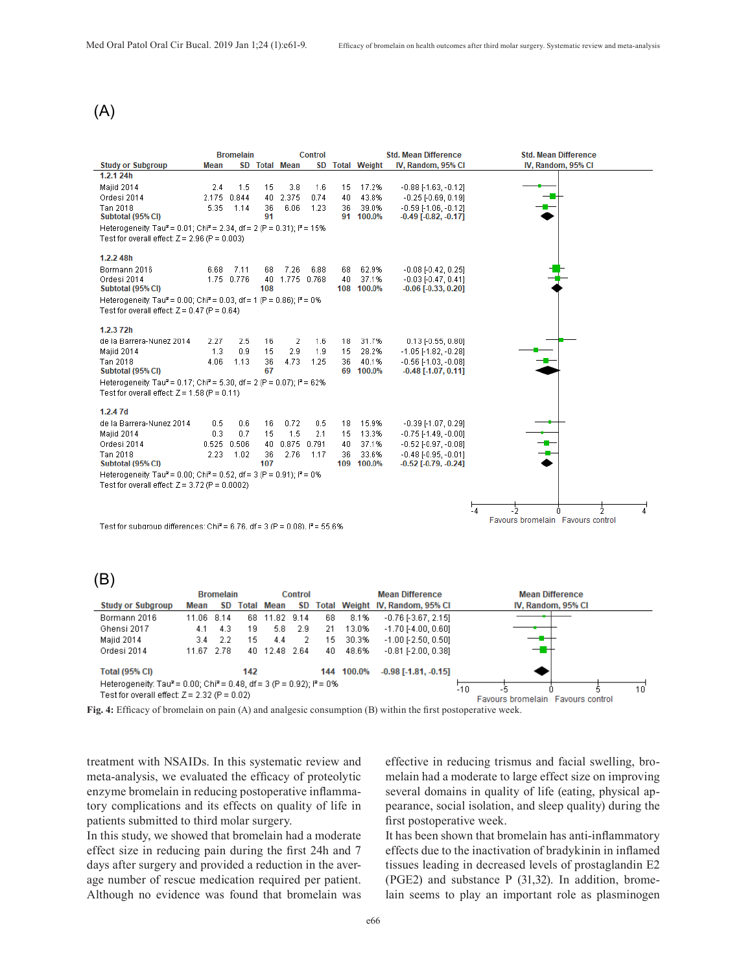# (A)

|                                                                                                          |             | <b>Bromelain</b> |     |                | <b>Control</b> |    |                     | <b>Std. Mean Difference</b>                              | <b>Std. Mean Difference</b>       |
|----------------------------------------------------------------------------------------------------------|-------------|------------------|-----|----------------|----------------|----|---------------------|----------------------------------------------------------|-----------------------------------|
| <b>Study or Subgroup</b>                                                                                 | <b>Mean</b> |                  |     | SD Total Mean  |                |    | SD Total Weight     | IV, Random, 95% CI                                       | IV, Random, 95% CI                |
| 1.2.124h                                                                                                 |             |                  |     |                |                |    |                     |                                                          |                                   |
| Majid 2014                                                                                               | 2.4         | 1.5              | 15  | 3.8            | 1.6            | 15 | 17.2%               | $-0.88$ [-1.63, $-0.12$ ]                                |                                   |
| Ordesi 2014                                                                                              |             | 2.175 0.844      | 40  | 2.375          | 0.74           | 40 | 43.8%               | $-0.25$ [ $-0.69$ , $0.19$ ]                             |                                   |
| Tan 2018                                                                                                 | 5.35        | 1.14             | 36  | 6.06           | 1.23           | 36 | 39.0%               | $-0.59$ [-1.06, $-0.12$ ]                                |                                   |
| Subtotal (95% CI)                                                                                        |             |                  | 91  |                |                |    | 91 100.0%           | $-0.49$ [ $-0.82, -0.17$ ]                               |                                   |
| Heterogeneity: Tau <sup>2</sup> = 0.01; Chi <sup>2</sup> = 2.34, df = 2 (P = 0.31); $P = 15\%$           |             |                  |     |                |                |    |                     |                                                          |                                   |
| Test for overall effect: $Z = 2.96$ (P = 0.003)                                                          |             |                  |     |                |                |    |                     |                                                          |                                   |
|                                                                                                          |             |                  |     |                |                |    |                     |                                                          |                                   |
| 1.2.2 48h                                                                                                |             |                  |     |                |                |    |                     |                                                          |                                   |
| Bormann 2016                                                                                             | 6.68        | 7.11             | 68  | 7.26           | 6.88           | 68 | 62.9%               | $-0.08$ [ $-0.42$ , $0.25$ ]                             |                                   |
| Ordesi 2014<br>Subtotal (95% CI)                                                                         |             | 1.75 0.776       | 108 | 40 1.775 0.768 |                | 40 | 37.1%<br>108 100.0% | $-0.03$ $-0.47$ , $0.41$<br>$-0.06$ [ $-0.33$ , $0.20$ ] |                                   |
| Heterogeneity: Tau <sup>2</sup> = 0.00; Chi <sup>2</sup> = 0.03, df = 1 (P = 0.86); i <sup>2</sup> = 0%  |             |                  |     |                |                |    |                     |                                                          |                                   |
| Test for overall effect: $Z = 0.47$ (P = 0.64)                                                           |             |                  |     |                |                |    |                     |                                                          |                                   |
|                                                                                                          |             |                  |     |                |                |    |                     |                                                          |                                   |
| 1.2.372h                                                                                                 |             |                  |     |                |                |    |                     |                                                          |                                   |
| de la Barrera-Nunez 2014                                                                                 | 2.27        | 2.5              | 16  | 2              | 1.6            | 18 | 31.7%               | $0.13$ [-0.55, 0.80]                                     |                                   |
| Majid 2014                                                                                               | 1.3         | 0.9              | 15  | 2.9            | 1.9            | 15 | 28.2%               | $-1.05$ [-1.82, $-0.28$ ]                                |                                   |
| Tan 2018                                                                                                 | 4.06        | 1.13             | 36  | 4.73           | 1.25           | 36 | 40.1%               | $-0.56$ [-1.03, -0.08]                                   |                                   |
| Subtotal (95% CI)                                                                                        |             |                  | 67  |                |                |    | 69 100.0%           | $-0.48$ [ $-1.07$ , $0.11$ ]                             |                                   |
| Heterogeneity: Tau <sup>2</sup> = 0.17; Chi <sup>2</sup> = 5.30, df = 2 (P = 0.07); i <sup>2</sup> = 62% |             |                  |     |                |                |    |                     |                                                          |                                   |
| Test for overall effect: $Z = 1.58$ (P = 0.11)                                                           |             |                  |     |                |                |    |                     |                                                          |                                   |
|                                                                                                          |             |                  |     |                |                |    |                     |                                                          |                                   |
| 1.2.47d                                                                                                  |             |                  |     |                |                |    |                     |                                                          |                                   |
| de la Barrera-Nunez 2014                                                                                 | 0.5         | 0.6              | 16  | 0.72           | 0.5            | 18 | 15.9%               | $-0.39$ [-1.07, 0.29]                                    |                                   |
| Majid 2014                                                                                               | 0.3         | 0.7              | 15  | 1.5            | 2.1            | 15 | 13.3%               | $-0.75$ [-1.49, $-0.00$ ]                                |                                   |
| Ordesi 2014                                                                                              | 0.525       | 0.506            |     | 40 0.875 0.791 |                | 40 | 37.1%               | $-0.52$ [ $-0.97, -0.08$ ]                               |                                   |
| Tan 2018                                                                                                 | 2.23        | 1.02             | 36  | 2.76           | 1.17           | 36 | 33.6%               | $-0.48$ $[-0.95, -0.01]$                                 |                                   |
| Subtotal (95% CI)                                                                                        |             |                  | 107 |                |                |    | 109 100.0%          | $-0.52$ [ $-0.79, -0.24$ ]                               |                                   |
| Heterogeneity: Tau <sup>2</sup> = 0.00; Chi <sup>2</sup> = 0.52, df = 3 (P = 0.91); $P = 0\%$            |             |                  |     |                |                |    |                     |                                                          |                                   |
| Test for overall effect: $Z = 3.72$ (P = 0.0002)                                                         |             |                  |     |                |                |    |                     |                                                          |                                   |
|                                                                                                          |             |                  |     |                |                |    |                     |                                                          |                                   |
|                                                                                                          |             |                  |     |                |                |    |                     |                                                          | $\overline{4}$<br>-5<br>Δ         |
| Test for subgroup differences: Chi <sup>2</sup> = 6.76, df = 3 (P = 0.08), $P = 55.6\%$                  |             |                  |     |                |                |    |                     |                                                          | Favours bromelain Favours control |

# (B)

|                                                                                                                                                 |            | <b>Bromelain</b> |       |       | <b>Control</b> |     |        | <b>Mean Difference</b>          | <b>Mean Difference</b>                         |
|-------------------------------------------------------------------------------------------------------------------------------------------------|------------|------------------|-------|-------|----------------|-----|--------|---------------------------------|------------------------------------------------|
| <b>Study or Subgroup</b>                                                                                                                        | Mean       | <b>SD</b>        | Total | Mean  | SD             |     |        | Total Weight IV, Random, 95% CI | IV, Random, 95% CI                             |
| Bormann 2016                                                                                                                                    | 11.06 8.14 |                  | 68    | 11.82 | -9.14          | 68  | 8.1%   | $-0.76$ $[-3.67, 2.15]$         |                                                |
| Ghensi 2017                                                                                                                                     | 4.1        | 4.3              | 19    | 5.8   | 2.9            | 21  | 13.0%  | $-1.70$ $[-4.00, 0.60]$         |                                                |
| Majid 2014                                                                                                                                      | 3.4        | 2.2              | 15    | 4.4   |                | 15  | 30.3%  | $-1.00$ $[-2.50, 0.50]$         |                                                |
| Ordesi 2014                                                                                                                                     | 11.67 2.78 |                  | 40.   | 12.48 | - 2.64         | 40  | 48.6%  | $-0.81$ $[-2.00, 0.38]$         | --                                             |
| Total (95% CI)                                                                                                                                  |            |                  | 142   |       |                | 144 | 100.0% | $-0.98$ [ $-1.81$ , $-0.15$ ]   |                                                |
| Heterogeneity: Tau <sup>2</sup> = 0.00; Chi <sup>2</sup> = 0.48, df = 3 (P = 0.92); $P = 0\%$<br>Test for overall effect: $Z = 2.32$ (P = 0.02) |            |                  |       |       |                |     |        |                                 | -10<br>10<br>Favours bromelain Favours control |

**Fig. 4:** Efficacy of bromelain on pain (A) and analgesic consumption (B) within the first postoperative week.

treatment with NSAIDs. In this systematic review and meta-analysis, we evaluated the efficacy of proteolytic enzyme bromelain in reducing postoperative inflammatory complications and its effects on quality of life in patients submitted to third molar surgery.

In this study, we showed that bromelain had a moderate effect size in reducing pain during the first 24h and 7 days after surgery and provided a reduction in the average number of rescue medication required per patient. Although no evidence was found that bromelain was effective in reducing trismus and facial swelling, bromelain had a moderate to large effect size on improving several domains in quality of life (eating, physical appearance, social isolation, and sleep quality) during the first postoperative week.

It has been shown that bromelain has anti-inflammatory effects due to the inactivation of bradykinin in inflamed tissues leading in decreased levels of prostaglandin E2 (PGE2) and substance P (31,32). In addition, bromelain seems to play an important role as plasminogen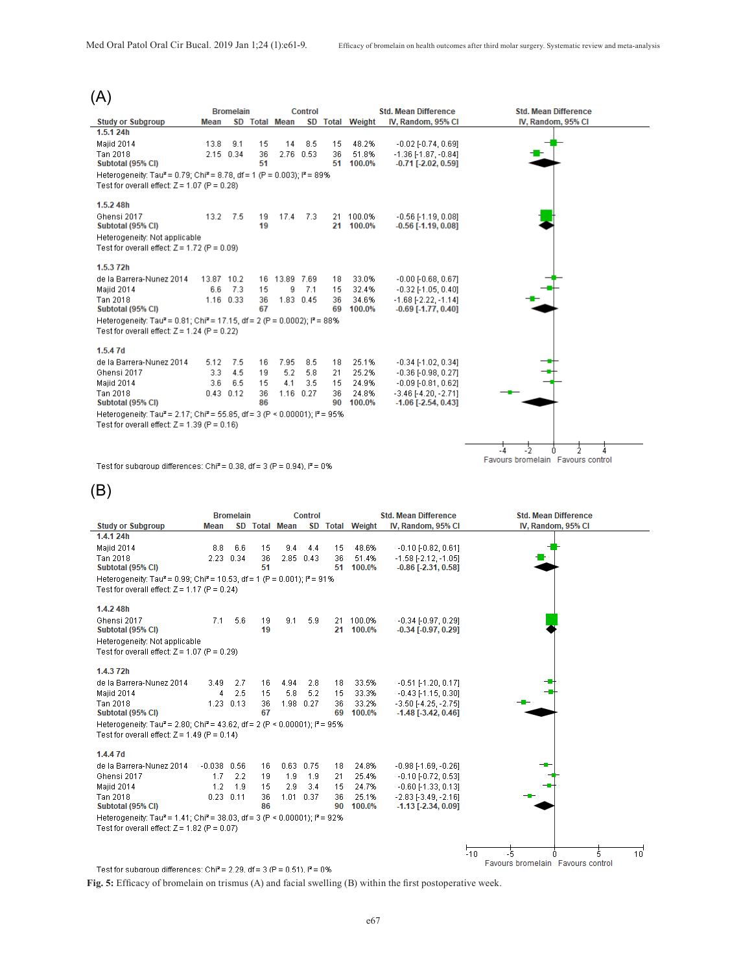# (A)

|                                                                                                             |            | <b>Bromelain</b> |               |            | <b>Control</b> |          |        | <b>Std. Mean Difference</b>   | <b>Std. Mean Difference</b> |
|-------------------------------------------------------------------------------------------------------------|------------|------------------|---------------|------------|----------------|----------|--------|-------------------------------|-----------------------------|
| <b>Study or Subgroup</b>                                                                                    | Mean       |                  | SD Total Mean |            |                | SD Total | Weight | IV, Random, 95% CI            | IV, Random, 95% CI          |
| 1.5.124h                                                                                                    |            |                  |               |            |                |          |        |                               |                             |
| Majid 2014                                                                                                  | 13.8       | 9.1              | 15            | 14         | 8.5            | 15       | 48.2%  | $-0.02$ $[-0.74, 0.69]$       |                             |
| Tan 2018                                                                                                    |            | 2.15 0.34        | 36            |            | 2.76 0.53      | 36       | 51.8%  | $-1.36$ [ $-1.87$ , $-0.84$ ] |                             |
| Subtotal (95% CI)                                                                                           |            |                  | 51            |            |                | 51       | 100.0% | $-0.71$ [ $-2.02$ , $0.59$ ]  |                             |
| Heterogeneity: Tau <sup>2</sup> = 0.79; Chi <sup>2</sup> = 8.78, df = 1 (P = 0.003); $P = 89\%$             |            |                  |               |            |                |          |        |                               |                             |
| Test for overall effect: $Z = 1.07$ (P = 0.28)                                                              |            |                  |               |            |                |          |        |                               |                             |
| 1.5.248h                                                                                                    |            |                  |               |            |                |          |        |                               |                             |
| Ghensi 2017                                                                                                 | 13.2       | 7.5              | 19            | 17.4       | 7.3            | 21       | 100.0% | $-0.56$ [-1.19, 0.08]         |                             |
| Subtotal (95% CI)                                                                                           |            |                  | 19            |            |                | 21       | 100.0% | $-0.56$ [ $-1.19$ , $0.08$ ]  |                             |
| Heterogeneity: Not applicable                                                                               |            |                  |               |            |                |          |        |                               |                             |
| Test for overall effect: $Z = 1.72$ (P = 0.09)                                                              |            |                  |               |            |                |          |        |                               |                             |
| 1.5.372h                                                                                                    |            |                  |               |            |                |          |        |                               |                             |
| de la Barrera-Nunez 2014                                                                                    | 13.87 10.2 |                  | 16            | 13.89 7.69 |                | 18       | 33.0%  | $-0.00$ [ $-0.68$ , $0.67$ ]  |                             |
| Majid 2014                                                                                                  | 6.6        | - 7.3            | 15            | 9          | - 7.1          | 15       | 32.4%  | $-0.32$ [-1.05, 0.40]         |                             |
| Tan 2018                                                                                                    |            | 1.16 0.33        | 36            |            | $1.83$ $0.45$  | 36       | 34.6%  | $-1.68$ F2.22, $-1.14$ ]      |                             |
| Subtotal (95% CI)                                                                                           |            |                  | 67            |            |                | 69       | 100.0% | $-0.69$ [ $-1.77, 0.40$ ]     |                             |
| Heterogeneity: Tau <sup>2</sup> = 0.81; Chi <sup>2</sup> = 17.15, df = 2 (P = 0.0002); l <sup>2</sup> = 88% |            |                  |               |            |                |          |        |                               |                             |
| Test for overall effect: $Z = 1.24$ (P = 0.22)                                                              |            |                  |               |            |                |          |        |                               |                             |
| 1.5.47d                                                                                                     |            |                  |               |            |                |          |        |                               |                             |
| de la Barrera-Nunez 2014                                                                                    | 5.12       | 7.5              | 16            | 7.95       | 8.5            | 18       | 25.1%  | $-0.34$ $[-1.02, 0.34]$       |                             |
| Ghensi 2017                                                                                                 | 3.3        | 4.5              | 19            | 5.2        | 5.8            | -21      | 25.2%  | $-0.36$ $[-0.98, 0.27]$       |                             |
| <b>Majid 2014</b>                                                                                           | 3.6        | 6.5              | 15            | 4.1        | 3.5            | 15       | 24.9%  | $-0.09$ $[-0.81, 0.62]$       |                             |
| Tan 2018                                                                                                    |            | $0.43$ $0.12$    | 36            |            | 1.16 0.27      | 36       | 24.8%  | $-3.46$ $[-4.20, -2.71]$      |                             |
| Subtotal (95% CI)                                                                                           |            |                  | 86            |            |                | 90       | 100.0% | $-1.06$ [ $-2.54$ , 0.43]     |                             |



Test for subgroup differences: Chi<sup>2</sup> = 0.38, df = 3 (P = 0.94),  $P = 0\%$ 

# (B)

|                                                                                                                                                      |                 | <b>Bromelain</b> |          |               | <b>Control</b> |          |                 | <b>Std. Mean Difference</b>                                | <b>Std. Mean Difference</b>              |
|------------------------------------------------------------------------------------------------------------------------------------------------------|-----------------|------------------|----------|---------------|----------------|----------|-----------------|------------------------------------------------------------|------------------------------------------|
| <b>Study or Subgroup</b>                                                                                                                             | <b>Mean</b>     |                  |          | SD Total Mean |                | SD Total | Weight          | IV, Random, 95% CI                                         | IV, Random, 95% CI                       |
| 1.4.124h                                                                                                                                             |                 |                  |          |               |                |          |                 |                                                            |                                          |
| Maiid 2014                                                                                                                                           | 8.8             | 6.6              | 15       | 9.4           | 4.4            | 15       | 48.6%           | $-0.10[-0.82, 0.61]$                                       |                                          |
| Tan 2018                                                                                                                                             |                 | 2.23 0.34        | 36       |               | 2.85 0.43      | 36       | 51.4%           | $-1.58$ F $2.12$ $-1.051$                                  |                                          |
| Subtotal (95% CI)                                                                                                                                    |                 |                  | 51       |               |                | 51       | 100.0%          | $-0.86$ [ $-2.31$ , $0.58$ ]                               |                                          |
| Heterogeneity: Tau <sup>2</sup> = 0.99; Chi <sup>2</sup> = 10.53, df = 1 (P = 0.001); $P = 91\%$                                                     |                 |                  |          |               |                |          |                 |                                                            |                                          |
| Test for overall effect: $Z = 1.17$ (P = 0.24)                                                                                                       |                 |                  |          |               |                |          |                 |                                                            |                                          |
|                                                                                                                                                      |                 |                  |          |               |                |          |                 |                                                            |                                          |
| 1.4.248h                                                                                                                                             |                 |                  |          |               |                |          |                 |                                                            |                                          |
| Ghensi 2017                                                                                                                                          | 7.1             | 5.6              | 19       | 9.1           | 5.9            | 21       | 100.0%          | $-0.34$ $[-0.97, 0.29]$                                    |                                          |
| Subtotal (95% CI)                                                                                                                                    |                 |                  | 19       |               |                | 21       | 100.0%          | $-0.34$ [ $-0.97, 0.29$ ]                                  |                                          |
| Heterogeneity: Not applicable                                                                                                                        |                 |                  |          |               |                |          |                 |                                                            |                                          |
| Test for overall effect: $Z = 1.07$ (P = 0.29)                                                                                                       |                 |                  |          |               |                |          |                 |                                                            |                                          |
|                                                                                                                                                      |                 |                  |          |               |                |          |                 |                                                            |                                          |
| 1.4.3 72h                                                                                                                                            |                 |                  |          |               |                |          |                 |                                                            |                                          |
| de la Barrera-Nunez 2014                                                                                                                             | 3.49            | 2.7              | 16       | 4.94          | 2.8            | 18       | 33.5%           | $-0.51$ [-1.20, 0.17]                                      |                                          |
| Maiid 2014                                                                                                                                           | 4               | 2.5              | 15       | 5.8           | 5.2            | 15       | 33.3%           | $-0.43$ [-1.15, 0.30]                                      |                                          |
| Tan 2018                                                                                                                                             |                 | 1.23 0.13        | 36       | 1.98          | 0.27           | 36       | 33.2%           | $-3.50$ $[-4.25, -2.75]$                                   |                                          |
| Subtotal (95% CI)                                                                                                                                    |                 |                  | 67       |               |                | 69       | 100.0%          | $-1.48$ [ $-3.42$ , 0.46]                                  |                                          |
| Heterogeneity: Tau <sup>2</sup> = 2.80; Chi <sup>2</sup> = 43.62, df = 2 (P < 0.00001); $P = 95\%$                                                   |                 |                  |          |               |                |          |                 |                                                            |                                          |
| Test for overall effect: $Z = 1.49$ (P = 0.14)                                                                                                       |                 |                  |          |               |                |          |                 |                                                            |                                          |
| 1.4.47d                                                                                                                                              |                 |                  |          |               |                |          |                 |                                                            |                                          |
|                                                                                                                                                      |                 |                  |          |               |                |          |                 |                                                            |                                          |
| de la Barrera-Nunez 2014                                                                                                                             | $-0.038$ $0.56$ |                  | 16       |               | $0.63$ $0.75$  | 18       | 24.8%           | $-0.98$ $[-1.69, -0.26]$                                   |                                          |
| Ghensi 2017                                                                                                                                          | 1.7             | 2.2              | 19       | 1.9           | 1.9            | 21       | 25.4%           | $-0.10$ $[-0.72, 0.53]$                                    |                                          |
| Majid 2014                                                                                                                                           | 1.2             | 1.9              | 15       | 2.9           | 3.4            | 15       | 24.7%           | $-0.60$ $[-1.33, 0.13]$                                    |                                          |
| Tan 2018<br>Subtotal (95% CI)                                                                                                                        |                 | $0.23$ $0.11$    | 36<br>86 | $1.01 -$      | 0.37           | 36<br>90 | 25.1%<br>100.0% | $-2.83$ [ $-3.49$ , $-2.16$ ]<br>$-1.13$ [ $-2.34$ , 0.09] |                                          |
|                                                                                                                                                      |                 |                  |          |               |                |          |                 |                                                            |                                          |
| Heterogeneity: Tau <sup>2</sup> = 1.41; Chi <sup>2</sup> = 38.03, df = 3 (P < 0.00001); $P = 92\%$<br>Test for overall effect: $Z = 1.82$ (P = 0.07) |                 |                  |          |               |                |          |                 |                                                            |                                          |
|                                                                                                                                                      |                 |                  |          |               |                |          |                 |                                                            |                                          |
|                                                                                                                                                      |                 |                  |          |               |                |          |                 |                                                            |                                          |
|                                                                                                                                                      |                 |                  |          |               |                |          |                 |                                                            | $-10$<br>-5<br>ĥ.<br>$10^{\degree}$<br>n |
| www.com/defenses.com/defenses/defenses/defenses/defenses/defenses/defenses/defenses/defenses/defenses/defenses/                                      |                 |                  |          |               |                |          |                 |                                                            | Favours bromelain Favours control        |

Test for subgroup differences: Chi<sup>2</sup> = 2.29, df = 3 (P = 0.51), l<sup>2</sup> = 0%

**Fig. 5:** Efficacy of bromelain on trismus (A) and facial swelling (B) within the first postoperative week.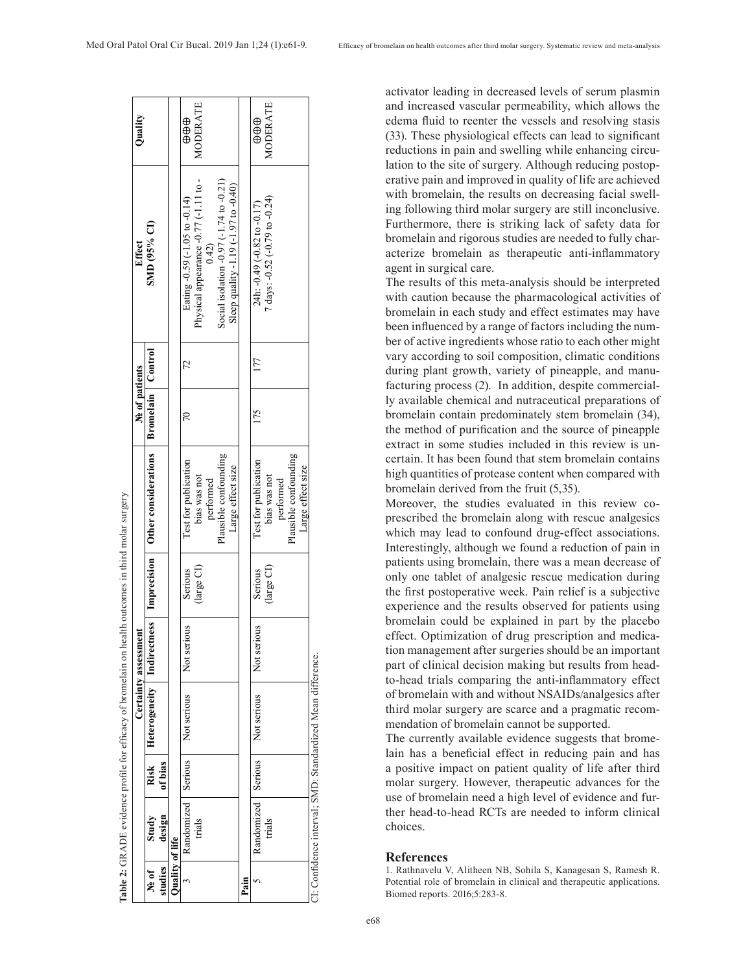|                 |                      |         |                                                         | ä<br>Certainty assessmo |            |                                    | Ne of patients    |     | Effect                                  | Quality         |
|-----------------|----------------------|---------|---------------------------------------------------------|-------------------------|------------|------------------------------------|-------------------|-----|-----------------------------------------|-----------------|
| Nº of           | Study                | Risk    | Heterogeneity Indirectness                              |                         |            | Imprecision   Other considerations | Bromelain Control |     | SMD (95% CI)                            |                 |
| studies         | design               | of bias |                                                         |                         |            |                                    |                   |     |                                         |                 |
| Quality of life |                      |         |                                                         |                         |            |                                    |                   |     |                                         |                 |
|                 | Randomized   Serious |         | Not serious                                             | snon<br>Not seri        | Serious    | Test for publication               | $\overline{70}$   | 72  | Eating $-0.59$ ( $-1.05$ to $-0.14$ )   | $\oplus \oplus$ |
|                 | trials               |         |                                                         |                         | (large CI) | bias was not                       |                   |     | Physical appearance -0.77 (-1.11 to -   | MODERATE        |
|                 |                      |         |                                                         |                         |            | performed                          |                   |     | 0.42)                                   |                 |
|                 |                      |         |                                                         |                         |            | Plausible confounding              |                   |     | Social isolation -0.97 (-1.74 to -0.21) |                 |
|                 |                      |         |                                                         |                         |            | Large effect size                  |                   |     | Sleep quality $-1.19(-1.97 to -0.40)$   |                 |
| Pain            |                      |         |                                                         |                         |            |                                    |                   |     |                                         |                 |
|                 | Randomized Serious   |         | Not serious                                             | rous<br>Not seri        | Serious    | Test for publication               | 175               | 177 | $24h$ : $-0.49$ $(-0.82$ to $-0.17)$    | $\oplus \oplus$ |
|                 | trials               |         |                                                         |                         | (large CI) | bias was not                       |                   |     | 7 days: -0.52 (-0.79 to -0.24)          | MODERATE        |
|                 |                      |         |                                                         |                         |            | performed                          |                   |     |                                         |                 |
|                 |                      |         |                                                         |                         |            | Plausible confounding              |                   |     |                                         |                 |
|                 |                      |         |                                                         |                         |            | Large effect size                  |                   |     |                                         |                 |
|                 |                      |         | Confidence interval; SMD: Standardized Mean difference. |                         |            |                                    |                   |     |                                         |                 |

Table 2: GRADE evidence profile for efficacy of bromelain on health outcomes in third molar surgery

**Table 2:** GRADE evidence profile for efficacy of bromelain on health outcomes in third molar surgery

activator leading in decreased levels of serum plasmin and increased vascular permeability, which allows the edema fluid to reenter the vessels and resolving stasis (33). These physiological effects can lead to significant reductions in pain and swelling while enhancing circulation to the site of surgery. Although reducing postoperative pain and improved in quality of life are achieved with bromelain, the results on decreasing facial swelling following third molar surgery are still inconclusive. Furthermore, there is striking lack of safety data for bromelain and rigorous studies are needed to fully characterize bromelain as therapeutic anti-inflammatory agent in surgical care.

The results of this meta-analysis should be interpreted with caution because the pharmacological activities of bromelain in each study and effect estimates may have been influenced by a range of factors including the number of active ingredients whose ratio to each other might vary according to soil composition, climatic conditions during plant growth, variety of pineapple, and manufacturing process (2). In addition, despite commercially available chemical and nutraceutical preparations of bromelain contain predominately stem bromelain (34), the method of purification and the source of pineapple extract in some studies included in this review is uncertain. It has been found that stem bromelain contains high quantities of protease content when compared with bromelain derived from the fruit (5,35).

Moreover, the studies evaluated in this review coprescribed the bromelain along with rescue analgesics which may lead to confound drug-effect associations. Interestingly, although we found a reduction of pain in patients using bromelain, there was a mean decrease of only one tablet of analgesic rescue medication during the first postoperative week. Pain relief is a subjective experience and the results observed for patients using bromelain could be explained in part by the placebo effect. Optimization of drug prescription and medication management after surgeries should be an important part of clinical decision making but results from headto-head trials comparing the anti-inflammatory effect of bromelain with and without NSAIDs/analgesics after third molar surgery are scarce and a pragmatic recommendation of bromelain cannot be supported.

The currently available evidence suggests that bromelain has a beneficial effect in reducing pain and has a positive impact on patient quality of life after third molar surgery. However, therapeutic advances for the use of bromelain need a high level of evidence and further head-to-head RCTs are needed to inform clinical choices.

#### **References**

1. Rathnavelu V, Alitheen NB, Sohila S, Kanagesan S, Ramesh R. Potential role of bromelain in clinical and therapeutic applications. Biomed reports. 2016;5:283-8.